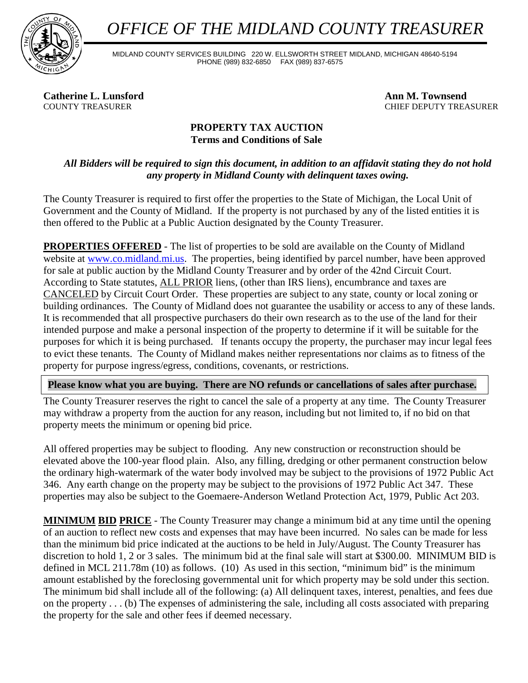*OFFICE OF THE MIDLAND COUNTY TREASURER*



MIDLAND COUNTY SERVICES BUILDING 220 W. ELLSWORTH STREET MIDLAND, MICHIGAN 48640-5194 PHONE (989) 832-6850 FAX (989) 837-6575

**Catherine L. Lunsford**<br> **Ann M. Townsend**<br> **Ann M. Townsend**<br> **Ann M. Townsend**<br> **CHIEF DEPUTY TREA** 

CHIEF DEPUTY TREASURER

## **PROPERTY TAX AUCTION Terms and Conditions of Sale**

## *All Bidders will be required to sign this document, in addition to an affidavit stating they do not hold any property in Midland County with delinquent taxes owing.*

The County Treasurer is required to first offer the properties to the State of Michigan, the Local Unit of Government and the County of Midland. If the property is not purchased by any of the listed entities it is then offered to the Public at a Public Auction designated by the County Treasurer.

**PROPERTIES OFFERED** - The list of properties to be sold are available on the County of Midland website at [www.co.midland.mi.us.](http://www.co.midland.mi.us/) The properties, being identified by parcel number, have been approved for sale at public auction by the Midland County Treasurer and by order of the 42nd Circuit Court. According to State statutes, ALL PRIOR liens, (other than IRS liens), encumbrance and taxes are CANCELED by Circuit Court Order. These properties are subject to any state, county or local zoning or building ordinances. The County of Midland does not guarantee the usability or access to any of these lands. It is recommended that all prospective purchasers do their own research as to the use of the land for their intended purpose and make a personal inspection of the property to determine if it will be suitable for the purposes for which it is being purchased. If tenants occupy the property, the purchaser may incur legal fees to evict these tenants. The County of Midland makes neither representations nor claims as to fitness of the property for purpose ingress/egress, conditions, covenants, or restrictions.

**Please know what you are buying. There are NO refunds or cancellations of sales after purchase.**

The County Treasurer reserves the right to cancel the sale of a property at any time. The County Treasurer may withdraw a property from the auction for any reason, including but not limited to, if no bid on that property meets the minimum or opening bid price.

All offered properties may be subject to flooding. Any new construction or reconstruction should be elevated above the 100-year flood plain. Also, any filling, dredging or other permanent construction below the ordinary high-watermark of the water body involved may be subject to the provisions of 1972 Public Act 346. Any earth change on the property may be subject to the provisions of 1972 Public Act 347. These properties may also be subject to the Goemaere-Anderson Wetland Protection Act, 1979, Public Act 203.

**MINIMUM BID PRICE** - The County Treasurer may change a minimum bid at any time until the opening of an auction to reflect new costs and expenses that may have been incurred. No sales can be made for less than the minimum bid price indicated at the auctions to be held in July/August. The County Treasurer has discretion to hold 1, 2 or 3 sales. The minimum bid at the final sale will start at \$300.00. MINIMUM BID is defined in MCL 211.78m (10) as follows. (10) As used in this section, "minimum bid" is the minimum amount established by the foreclosing governmental unit for which property may be sold under this section. The minimum bid shall include all of the following: (a) All delinquent taxes, interest, penalties, and fees due on the property . . . (b) The expenses of administering the sale, including all costs associated with preparing the property for the sale and other fees if deemed necessary.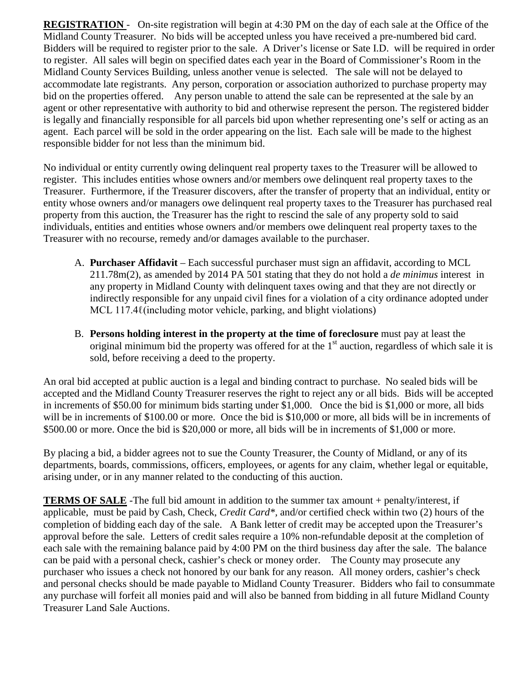**REGISTRATION** - On-site registration will begin at 4:30 PM on the day of each sale at the Office of the Midland County Treasurer. No bids will be accepted unless you have received a pre-numbered bid card. Bidders will be required to register prior to the sale. A Driver's license or Sate I.D. will be required in order to register. All sales will begin on specified dates each year in the Board of Commissioner's Room in the Midland County Services Building, unless another venue is selected. The sale will not be delayed to accommodate late registrants. Any person, corporation or association authorized to purchase property may bid on the properties offered. Any person unable to attend the sale can be represented at the sale by an agent or other representative with authority to bid and otherwise represent the person. The registered bidder is legally and financially responsible for all parcels bid upon whether representing one's self or acting as an agent. Each parcel will be sold in the order appearing on the list. Each sale will be made to the highest responsible bidder for not less than the minimum bid.

No individual or entity currently owing delinquent real property taxes to the Treasurer will be allowed to register. This includes entities whose owners and/or members owe delinquent real property taxes to the Treasurer. Furthermore, if the Treasurer discovers, after the transfer of property that an individual, entity or entity whose owners and/or managers owe delinquent real property taxes to the Treasurer has purchased real property from this auction, the Treasurer has the right to rescind the sale of any property sold to said individuals, entities and entities whose owners and/or members owe delinquent real property taxes to the Treasurer with no recourse, remedy and/or damages available to the purchaser.

- A. **Purchaser Affidavit** Each successful purchaser must sign an affidavit, according to MCL 211.78m(2), as amended by 2014 PA 501 stating that they do not hold a *de minimus* interest in any property in Midland County with delinquent taxes owing and that they are not directly or indirectly responsible for any unpaid civil fines for a violation of a city ordinance adopted under MCL 117.4 $\ell$ (including motor vehicle, parking, and blight violations)
- B. **Persons holding interest in the property at the time of foreclosure** must pay at least the original minimum bid the property was offered for at the  $1<sup>st</sup>$  auction, regardless of which sale it is sold, before receiving a deed to the property.

An oral bid accepted at public auction is a legal and binding contract to purchase. No sealed bids will be accepted and the Midland County Treasurer reserves the right to reject any or all bids. Bids will be accepted in increments of \$50.00 for minimum bids starting under \$1,000. Once the bid is \$1,000 or more, all bids will be in increments of \$100.00 or more. Once the bid is \$10,000 or more, all bids will be in increments of \$500.00 or more. Once the bid is \$20,000 or more, all bids will be in increments of \$1,000 or more.

By placing a bid, a bidder agrees not to sue the County Treasurer, the County of Midland, or any of its departments, boards, commissions, officers, employees, or agents for any claim, whether legal or equitable, arising under, or in any manner related to the conducting of this auction.

**TERMS OF SALE** -The full bid amount in addition to the summer tax amount + penalty/interest, if applicable, must be paid by Cash, Check, *Credit Card\*,* and/or certified check within two (2) hours of the completion of bidding each day of the sale. A Bank letter of credit may be accepted upon the Treasurer's approval before the sale. Letters of credit sales require a 10% non-refundable deposit at the completion of each sale with the remaining balance paid by 4:00 PM on the third business day after the sale. The balance can be paid with a personal check, cashier's check or money order. The County may prosecute any purchaser who issues a check not honored by our bank for any reason. All money orders, cashier's check and personal checks should be made payable to Midland County Treasurer. Bidders who fail to consummate any purchase will forfeit all monies paid and will also be banned from bidding in all future Midland County Treasurer Land Sale Auctions.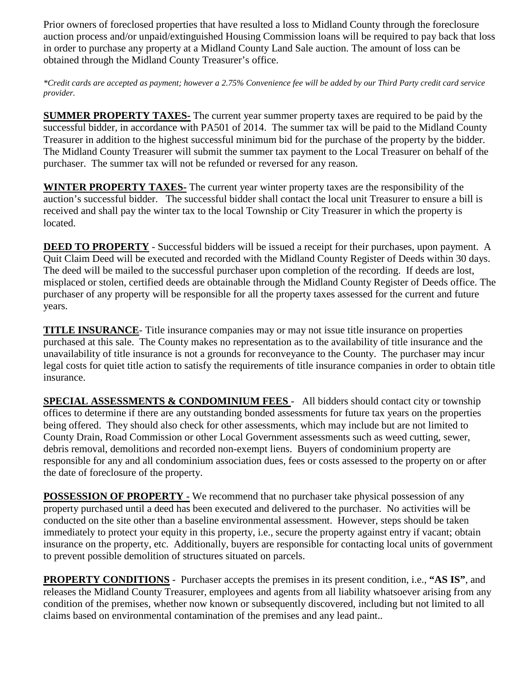Prior owners of foreclosed properties that have resulted a loss to Midland County through the foreclosure auction process and/or unpaid/extinguished Housing Commission loans will be required to pay back that loss in order to purchase any property at a Midland County Land Sale auction. The amount of loss can be obtained through the Midland County Treasurer's office.

*\*Credit cards are accepted as payment; however a 2.75% Convenience fee will be added by our Third Party credit card service provider.*

**SUMMER PROPERTY TAXES-** The current year summer property taxes are required to be paid by the successful bidder, in accordance with PA501 of 2014. The summer tax will be paid to the Midland County Treasurer in addition to the highest successful minimum bid for the purchase of the property by the bidder. The Midland County Treasurer will submit the summer tax payment to the Local Treasurer on behalf of the purchaser. The summer tax will not be refunded or reversed for any reason.

**WINTER PROPERTY TAXES-** The current year winter property taxes are the responsibility of the auction's successful bidder. The successful bidder shall contact the local unit Treasurer to ensure a bill is received and shall pay the winter tax to the local Township or City Treasurer in which the property is located.

**DEED TO PROPERTY** - Successful bidders will be issued a receipt for their purchases, upon payment. A Quit Claim Deed will be executed and recorded with the Midland County Register of Deeds within 30 days. The deed will be mailed to the successful purchaser upon completion of the recording. If deeds are lost, misplaced or stolen, certified deeds are obtainable through the Midland County Register of Deeds office. The purchaser of any property will be responsible for all the property taxes assessed for the current and future years.

**TITLE INSURANCE**- Title insurance companies may or may not issue title insurance on properties purchased at this sale. The County makes no representation as to the availability of title insurance and the unavailability of title insurance is not a grounds for reconveyance to the County. The purchaser may incur legal costs for quiet title action to satisfy the requirements of title insurance companies in order to obtain title insurance.

**SPECIAL ASSESSMENTS & CONDOMINIUM FEES** - All bidders should contact city or township offices to determine if there are any outstanding bonded assessments for future tax years on the properties being offered. They should also check for other assessments, which may include but are not limited to County Drain, Road Commission or other Local Government assessments such as weed cutting, sewer, debris removal, demolitions and recorded non-exempt liens. Buyers of condominium property are responsible for any and all condominium association dues, fees or costs assessed to the property on or after the date of foreclosure of the property.

**POSSESSION OF PROPERTY** - We recommend that no purchaser take physical possession of any property purchased until a deed has been executed and delivered to the purchaser. No activities will be conducted on the site other than a baseline environmental assessment. However, steps should be taken immediately to protect your equity in this property, i.e., secure the property against entry if vacant; obtain insurance on the property, etc. Additionally, buyers are responsible for contacting local units of government to prevent possible demolition of structures situated on parcels.

**PROPERTY CONDITIONS** - Purchaser accepts the premises in its present condition, i.e., **"AS IS"**, and releases the Midland County Treasurer, employees and agents from all liability whatsoever arising from any condition of the premises, whether now known or subsequently discovered, including but not limited to all claims based on environmental contamination of the premises and any lead paint..